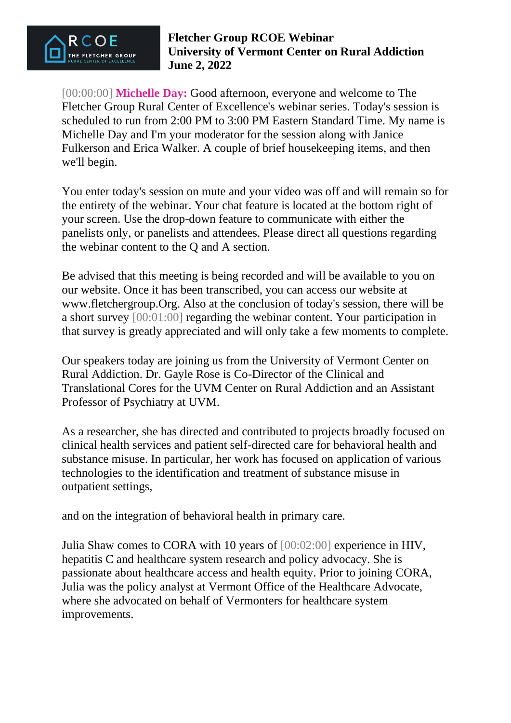

[00:00:00] **Michelle Day:** Good afternoon, everyone and welcome to The Fletcher Group Rural Center of Excellence's webinar series. Today's session is scheduled to run from 2:00 PM to 3:00 PM Eastern Standard Time. My name is Michelle Day and I'm your moderator for the session along with Janice Fulkerson and Erica Walker. A couple of brief housekeeping items, and then we'll begin.

You enter today's session on mute and your video was off and will remain so for the entirety of the webinar. Your chat feature is located at the bottom right of your screen. Use the drop-down feature to communicate with either the panelists only, or panelists and attendees. Please direct all questions regarding the webinar content to the Q and A section.

Be advised that this meeting is being recorded and will be available to you on our website. Once it has been transcribed, you can access our website at www.fletchergroup.Org. Also at the conclusion of today's session, there will be a short survey [00:01:00] regarding the webinar content. Your participation in that survey is greatly appreciated and will only take a few moments to complete.

Our speakers today are joining us from the University of Vermont Center on Rural Addiction. Dr. Gayle Rose is Co-Director of the Clinical and Translational Cores for the UVM Center on Rural Addiction and an Assistant Professor of Psychiatry at UVM.

As a researcher, she has directed and contributed to projects broadly focused on clinical health services and patient self-directed care for behavioral health and substance misuse. In particular, her work has focused on application of various technologies to the identification and treatment of substance misuse in outpatient settings,

and on the integration of behavioral health in primary care.

Julia Shaw comes to CORA with 10 years of [00:02:00] experience in HIV, hepatitis C and healthcare system research and policy advocacy. She is passionate about healthcare access and health equity. Prior to joining CORA, Julia was the policy analyst at Vermont Office of the Healthcare Advocate, where she advocated on behalf of Vermonters for healthcare system improvements.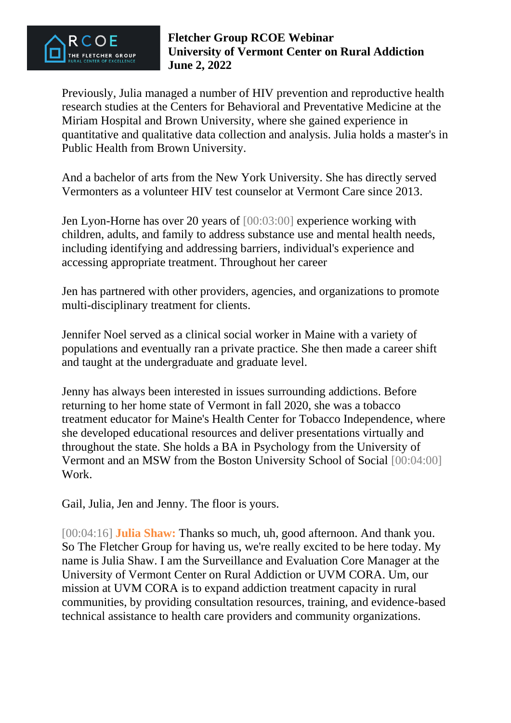

Previously, Julia managed a number of HIV prevention and reproductive health research studies at the Centers for Behavioral and Preventative Medicine at the Miriam Hospital and Brown University, where she gained experience in quantitative and qualitative data collection and analysis. Julia holds a master's in Public Health from Brown University.

And a bachelor of arts from the New York University. She has directly served Vermonters as a volunteer HIV test counselor at Vermont Care since 2013.

Jen Lyon-Horne has over 20 years of [00:03:00] experience working with children, adults, and family to address substance use and mental health needs, including identifying and addressing barriers, individual's experience and accessing appropriate treatment. Throughout her career

Jen has partnered with other providers, agencies, and organizations to promote multi-disciplinary treatment for clients.

Jennifer Noel served as a clinical social worker in Maine with a variety of populations and eventually ran a private practice. She then made a career shift and taught at the undergraduate and graduate level.

Jenny has always been interested in issues surrounding addictions. Before returning to her home state of Vermont in fall 2020, she was a tobacco treatment educator for Maine's Health Center for Tobacco Independence, where she developed educational resources and deliver presentations virtually and throughout the state. She holds a BA in Psychology from the University of Vermont and an MSW from the Boston University School of Social [00:04:00] Work.

Gail, Julia, Jen and Jenny. The floor is yours.

[00:04:16] **Julia Shaw:** Thanks so much, uh, good afternoon. And thank you. So The Fletcher Group for having us, we're really excited to be here today. My name is Julia Shaw. I am the Surveillance and Evaluation Core Manager at the University of Vermont Center on Rural Addiction or UVM CORA. Um, our mission at UVM CORA is to expand addiction treatment capacity in rural communities, by providing consultation resources, training, and evidence-based technical assistance to health care providers and community organizations.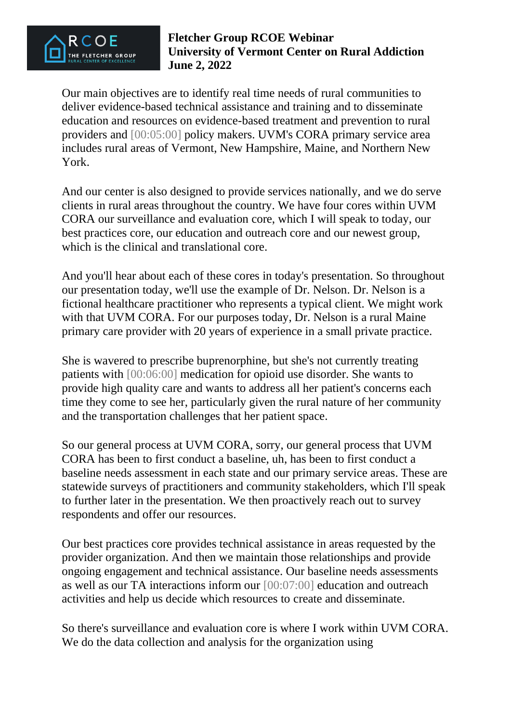

Our main objectives are to identify real time needs of rural communities to deliver evidence-based technical assistance and training and to disseminate education and resources on evidence-based treatment and prevention to rural providers and [00:05:00] policy makers. UVM's CORA primary service area includes rural areas of Vermont, New Hampshire, Maine, and Northern New York.

And our center is also designed to provide services nationally, and we do serve clients in rural areas throughout the country. We have four cores within UVM CORA our surveillance and evaluation core, which I will speak to today, our best practices core, our education and outreach core and our newest group, which is the clinical and translational core.

And you'll hear about each of these cores in today's presentation. So throughout our presentation today, we'll use the example of Dr. Nelson. Dr. Nelson is a fictional healthcare practitioner who represents a typical client. We might work with that UVM CORA. For our purposes today, Dr. Nelson is a rural Maine primary care provider with 20 years of experience in a small private practice.

She is wavered to prescribe buprenorphine, but she's not currently treating patients with [00:06:00] medication for opioid use disorder. She wants to provide high quality care and wants to address all her patient's concerns each time they come to see her, particularly given the rural nature of her community and the transportation challenges that her patient space.

So our general process at UVM CORA, sorry, our general process that UVM CORA has been to first conduct a baseline, uh, has been to first conduct a baseline needs assessment in each state and our primary service areas. These are statewide surveys of practitioners and community stakeholders, which I'll speak to further later in the presentation. We then proactively reach out to survey respondents and offer our resources.

Our best practices core provides technical assistance in areas requested by the provider organization. And then we maintain those relationships and provide ongoing engagement and technical assistance. Our baseline needs assessments as well as our TA interactions inform our [00:07:00] education and outreach activities and help us decide which resources to create and disseminate.

So there's surveillance and evaluation core is where I work within UVM CORA. We do the data collection and analysis for the organization using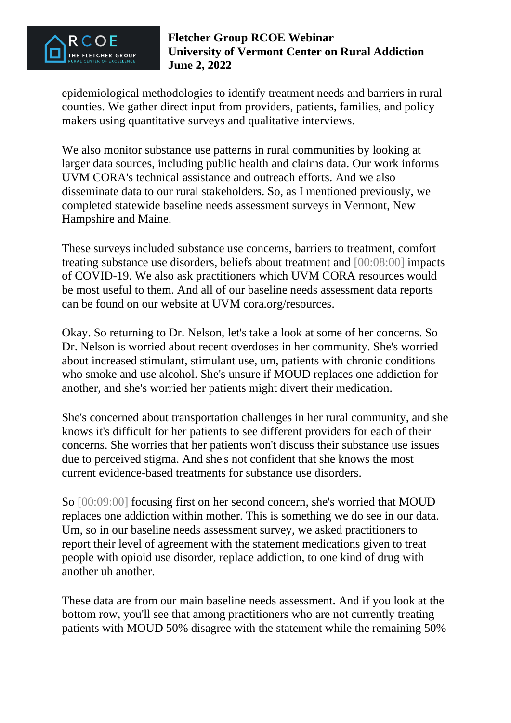

epidemiological methodologies to identify treatment needs and barriers in rural counties. We gather direct input from providers, patients, families, and policy makers using quantitative surveys and qualitative interviews.

We also monitor substance use patterns in rural communities by looking at larger data sources, including public health and claims data. Our work informs UVM CORA's technical assistance and outreach efforts. And we also disseminate data to our rural stakeholders. So, as I mentioned previously, we completed statewide baseline needs assessment surveys in Vermont, New Hampshire and Maine.

These surveys included substance use concerns, barriers to treatment, comfort treating substance use disorders, beliefs about treatment and [00:08:00] impacts of COVID-19. We also ask practitioners which UVM CORA resources would be most useful to them. And all of our baseline needs assessment data reports can be found on our website at UVM cora.org/resources.

Okay. So returning to Dr. Nelson, let's take a look at some of her concerns. So Dr. Nelson is worried about recent overdoses in her community. She's worried about increased stimulant, stimulant use, um, patients with chronic conditions who smoke and use alcohol. She's unsure if MOUD replaces one addiction for another, and she's worried her patients might divert their medication.

She's concerned about transportation challenges in her rural community, and she knows it's difficult for her patients to see different providers for each of their concerns. She worries that her patients won't discuss their substance use issues due to perceived stigma. And she's not confident that she knows the most current evidence-based treatments for substance use disorders.

So [00:09:00] focusing first on her second concern, she's worried that MOUD replaces one addiction within mother. This is something we do see in our data. Um, so in our baseline needs assessment survey, we asked practitioners to report their level of agreement with the statement medications given to treat people with opioid use disorder, replace addiction, to one kind of drug with another uh another.

These data are from our main baseline needs assessment. And if you look at the bottom row, you'll see that among practitioners who are not currently treating patients with MOUD 50% disagree with the statement while the remaining 50%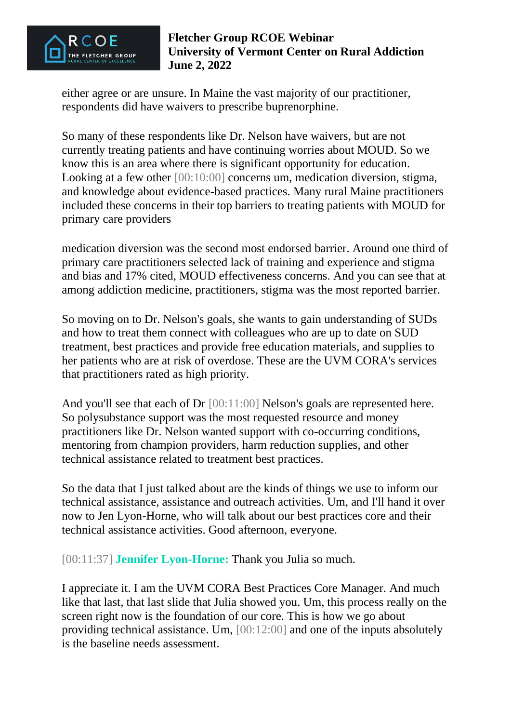

either agree or are unsure. In Maine the vast majority of our practitioner, respondents did have waivers to prescribe buprenorphine.

So many of these respondents like Dr. Nelson have waivers, but are not currently treating patients and have continuing worries about MOUD. So we know this is an area where there is significant opportunity for education. Looking at a few other [00:10:00] concerns um, medication diversion, stigma, and knowledge about evidence-based practices. Many rural Maine practitioners included these concerns in their top barriers to treating patients with MOUD for primary care providers

medication diversion was the second most endorsed barrier. Around one third of primary care practitioners selected lack of training and experience and stigma and bias and 17% cited, MOUD effectiveness concerns. And you can see that at among addiction medicine, practitioners, stigma was the most reported barrier.

So moving on to Dr. Nelson's goals, she wants to gain understanding of SUDs and how to treat them connect with colleagues who are up to date on SUD treatment, best practices and provide free education materials, and supplies to her patients who are at risk of overdose. These are the UVM CORA's services that practitioners rated as high priority.

And you'll see that each of Dr [00:11:00] Nelson's goals are represented here. So polysubstance support was the most requested resource and money practitioners like Dr. Nelson wanted support with co-occurring conditions, mentoring from champion providers, harm reduction supplies, and other technical assistance related to treatment best practices.

So the data that I just talked about are the kinds of things we use to inform our technical assistance, assistance and outreach activities. Um, and I'll hand it over now to Jen Lyon-Horne, who will talk about our best practices core and their technical assistance activities. Good afternoon, everyone.

[00:11:37] **Jennifer Lyon-Horne:** Thank you Julia so much.

I appreciate it. I am the UVM CORA Best Practices Core Manager. And much like that last, that last slide that Julia showed you. Um, this process really on the screen right now is the foundation of our core. This is how we go about providing technical assistance. Um, [00:12:00] and one of the inputs absolutely is the baseline needs assessment.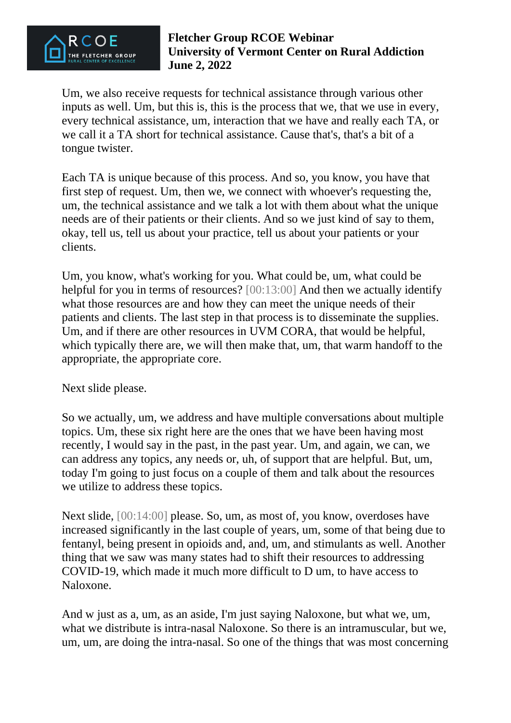

Um, we also receive requests for technical assistance through various other inputs as well. Um, but this is, this is the process that we, that we use in every, every technical assistance, um, interaction that we have and really each TA, or we call it a TA short for technical assistance. Cause that's, that's a bit of a tongue twister.

Each TA is unique because of this process. And so, you know, you have that first step of request. Um, then we, we connect with whoever's requesting the, um, the technical assistance and we talk a lot with them about what the unique needs are of their patients or their clients. And so we just kind of say to them, okay, tell us, tell us about your practice, tell us about your patients or your clients.

Um, you know, what's working for you. What could be, um, what could be helpful for you in terms of resources? [00:13:00] And then we actually identify what those resources are and how they can meet the unique needs of their patients and clients. The last step in that process is to disseminate the supplies. Um, and if there are other resources in UVM CORA, that would be helpful, which typically there are, we will then make that, um, that warm handoff to the appropriate, the appropriate core.

Next slide please.

So we actually, um, we address and have multiple conversations about multiple topics. Um, these six right here are the ones that we have been having most recently, I would say in the past, in the past year. Um, and again, we can, we can address any topics, any needs or, uh, of support that are helpful. But, um, today I'm going to just focus on a couple of them and talk about the resources we utilize to address these topics.

Next slide, [00:14:00] please. So, um, as most of, you know, overdoses have increased significantly in the last couple of years, um, some of that being due to fentanyl, being present in opioids and, and, um, and stimulants as well. Another thing that we saw was many states had to shift their resources to addressing COVID-19, which made it much more difficult to D um, to have access to Naloxone.

And w just as a, um, as an aside, I'm just saying Naloxone, but what we, um, what we distribute is intra-nasal Naloxone. So there is an intramuscular, but we, um, um, are doing the intra-nasal. So one of the things that was most concerning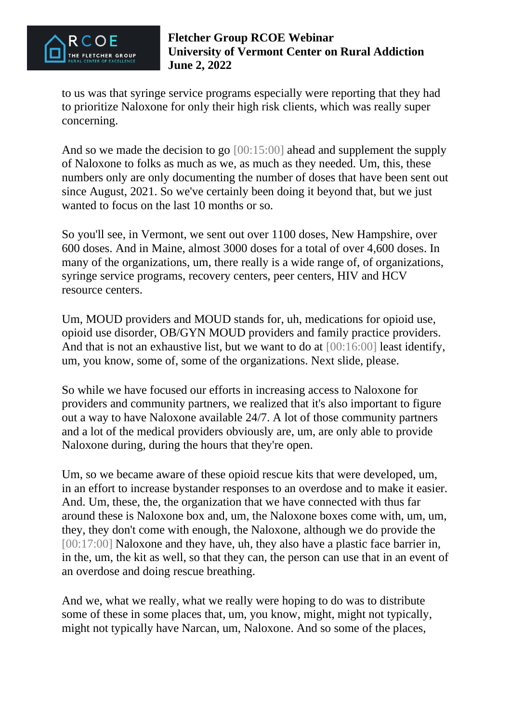

to us was that syringe service programs especially were reporting that they had to prioritize Naloxone for only their high risk clients, which was really super concerning.

And so we made the decision to go  $[00:15:00]$  ahead and supplement the supply of Naloxone to folks as much as we, as much as they needed. Um, this, these numbers only are only documenting the number of doses that have been sent out since August, 2021. So we've certainly been doing it beyond that, but we just wanted to focus on the last 10 months or so.

So you'll see, in Vermont, we sent out over 1100 doses, New Hampshire, over 600 doses. And in Maine, almost 3000 doses for a total of over 4,600 doses. In many of the organizations, um, there really is a wide range of, of organizations, syringe service programs, recovery centers, peer centers, HIV and HCV resource centers.

Um, MOUD providers and MOUD stands for, uh, medications for opioid use, opioid use disorder, OB/GYN MOUD providers and family practice providers. And that is not an exhaustive list, but we want to do at [00:16:00] least identify, um, you know, some of, some of the organizations. Next slide, please.

So while we have focused our efforts in increasing access to Naloxone for providers and community partners, we realized that it's also important to figure out a way to have Naloxone available 24/7. A lot of those community partners and a lot of the medical providers obviously are, um, are only able to provide Naloxone during, during the hours that they're open.

Um, so we became aware of these opioid rescue kits that were developed, um, in an effort to increase bystander responses to an overdose and to make it easier. And. Um, these, the, the organization that we have connected with thus far around these is Naloxone box and, um, the Naloxone boxes come with, um, um, they, they don't come with enough, the Naloxone, although we do provide the [00:17:00] Naloxone and they have, uh, they also have a plastic face barrier in, in the, um, the kit as well, so that they can, the person can use that in an event of an overdose and doing rescue breathing.

And we, what we really, what we really were hoping to do was to distribute some of these in some places that, um, you know, might, might not typically, might not typically have Narcan, um, Naloxone. And so some of the places,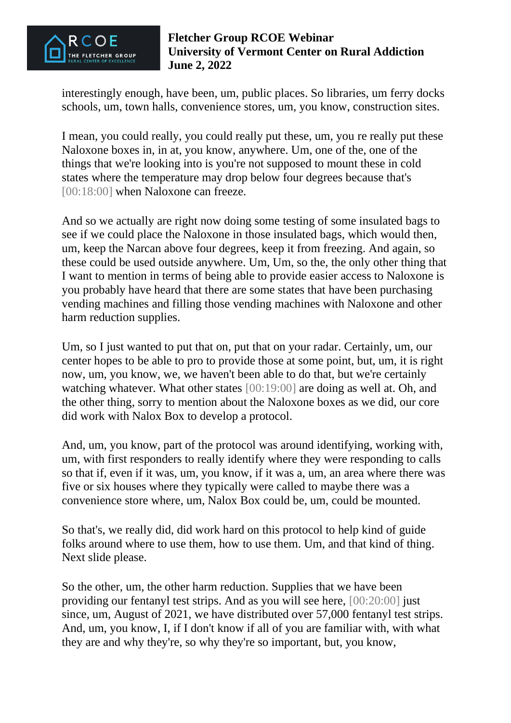

interestingly enough, have been, um, public places. So libraries, um ferry docks schools, um, town halls, convenience stores, um, you know, construction sites.

I mean, you could really, you could really put these, um, you re really put these Naloxone boxes in, in at, you know, anywhere. Um, one of the, one of the things that we're looking into is you're not supposed to mount these in cold states where the temperature may drop below four degrees because that's [00:18:00] when Naloxone can freeze.

And so we actually are right now doing some testing of some insulated bags to see if we could place the Naloxone in those insulated bags, which would then, um, keep the Narcan above four degrees, keep it from freezing. And again, so these could be used outside anywhere. Um, Um, so the, the only other thing that I want to mention in terms of being able to provide easier access to Naloxone is you probably have heard that there are some states that have been purchasing vending machines and filling those vending machines with Naloxone and other harm reduction supplies.

Um, so I just wanted to put that on, put that on your radar. Certainly, um, our center hopes to be able to pro to provide those at some point, but, um, it is right now, um, you know, we, we haven't been able to do that, but we're certainly watching whatever. What other states [00:19:00] are doing as well at. Oh, and the other thing, sorry to mention about the Naloxone boxes as we did, our core did work with Nalox Box to develop a protocol.

And, um, you know, part of the protocol was around identifying, working with, um, with first responders to really identify where they were responding to calls so that if, even if it was, um, you know, if it was a, um, an area where there was five or six houses where they typically were called to maybe there was a convenience store where, um, Nalox Box could be, um, could be mounted.

So that's, we really did, did work hard on this protocol to help kind of guide folks around where to use them, how to use them. Um, and that kind of thing. Next slide please.

So the other, um, the other harm reduction. Supplies that we have been providing our fentanyl test strips. And as you will see here, [00:20:00] just since, um, August of 2021, we have distributed over 57,000 fentanyl test strips. And, um, you know, I, if I don't know if all of you are familiar with, with what they are and why they're, so why they're so important, but, you know,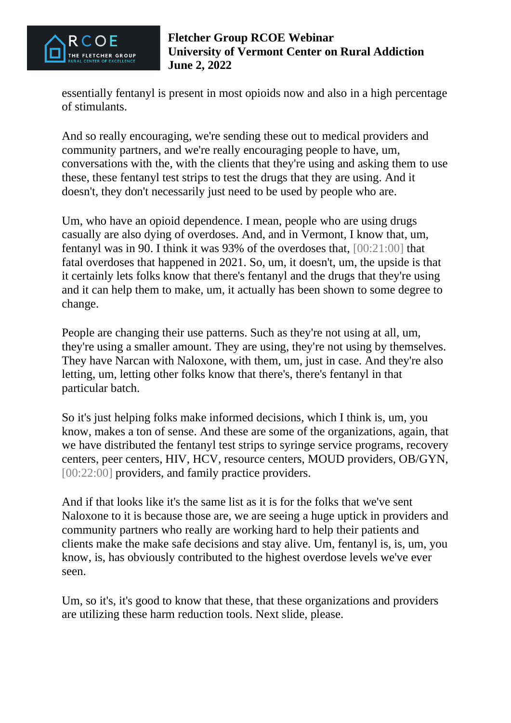

essentially fentanyl is present in most opioids now and also in a high percentage of stimulants.

And so really encouraging, we're sending these out to medical providers and community partners, and we're really encouraging people to have, um, conversations with the, with the clients that they're using and asking them to use these, these fentanyl test strips to test the drugs that they are using. And it doesn't, they don't necessarily just need to be used by people who are.

Um, who have an opioid dependence. I mean, people who are using drugs casually are also dying of overdoses. And, and in Vermont, I know that, um, fentanyl was in 90. I think it was 93% of the overdoses that, [00:21:00] that fatal overdoses that happened in 2021. So, um, it doesn't, um, the upside is that it certainly lets folks know that there's fentanyl and the drugs that they're using and it can help them to make, um, it actually has been shown to some degree to change.

People are changing their use patterns. Such as they're not using at all, um, they're using a smaller amount. They are using, they're not using by themselves. They have Narcan with Naloxone, with them, um, just in case. And they're also letting, um, letting other folks know that there's, there's fentanyl in that particular batch.

So it's just helping folks make informed decisions, which I think is, um, you know, makes a ton of sense. And these are some of the organizations, again, that we have distributed the fentanyl test strips to syringe service programs, recovery centers, peer centers, HIV, HCV, resource centers, MOUD providers, OB/GYN, [00:22:00] providers, and family practice providers.

And if that looks like it's the same list as it is for the folks that we've sent Naloxone to it is because those are, we are seeing a huge uptick in providers and community partners who really are working hard to help their patients and clients make the make safe decisions and stay alive. Um, fentanyl is, is, um, you know, is, has obviously contributed to the highest overdose levels we've ever seen.

Um, so it's, it's good to know that these, that these organizations and providers are utilizing these harm reduction tools. Next slide, please.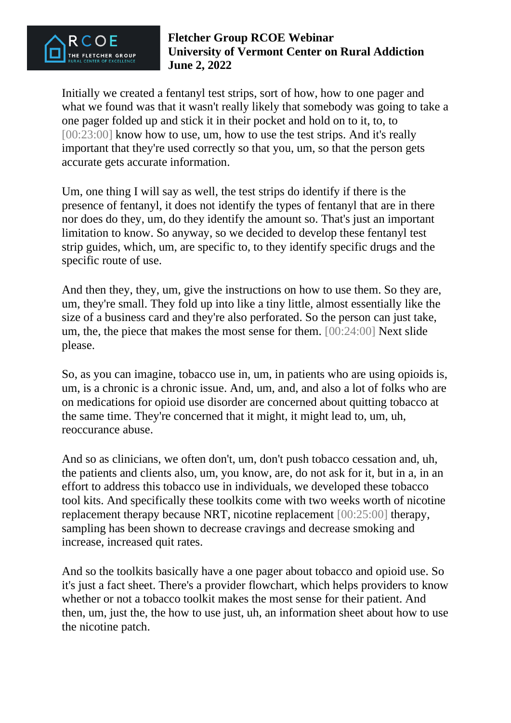

Initially we created a fentanyl test strips, sort of how, how to one pager and what we found was that it wasn't really likely that somebody was going to take a one pager folded up and stick it in their pocket and hold on to it, to, to [00:23:00] know how to use, um, how to use the test strips. And it's really important that they're used correctly so that you, um, so that the person gets accurate gets accurate information.

Um, one thing I will say as well, the test strips do identify if there is the presence of fentanyl, it does not identify the types of fentanyl that are in there nor does do they, um, do they identify the amount so. That's just an important limitation to know. So anyway, so we decided to develop these fentanyl test strip guides, which, um, are specific to, to they identify specific drugs and the specific route of use.

And then they, they, um, give the instructions on how to use them. So they are, um, they're small. They fold up into like a tiny little, almost essentially like the size of a business card and they're also perforated. So the person can just take, um, the, the piece that makes the most sense for them. [00:24:00] Next slide please.

So, as you can imagine, tobacco use in, um, in patients who are using opioids is, um, is a chronic is a chronic issue. And, um, and, and also a lot of folks who are on medications for opioid use disorder are concerned about quitting tobacco at the same time. They're concerned that it might, it might lead to, um, uh, reoccurance abuse.

And so as clinicians, we often don't, um, don't push tobacco cessation and, uh, the patients and clients also, um, you know, are, do not ask for it, but in a, in an effort to address this tobacco use in individuals, we developed these tobacco tool kits. And specifically these toolkits come with two weeks worth of nicotine replacement therapy because NRT, nicotine replacement [00:25:00] therapy, sampling has been shown to decrease cravings and decrease smoking and increase, increased quit rates.

And so the toolkits basically have a one pager about tobacco and opioid use. So it's just a fact sheet. There's a provider flowchart, which helps providers to know whether or not a tobacco toolkit makes the most sense for their patient. And then, um, just the, the how to use just, uh, an information sheet about how to use the nicotine patch.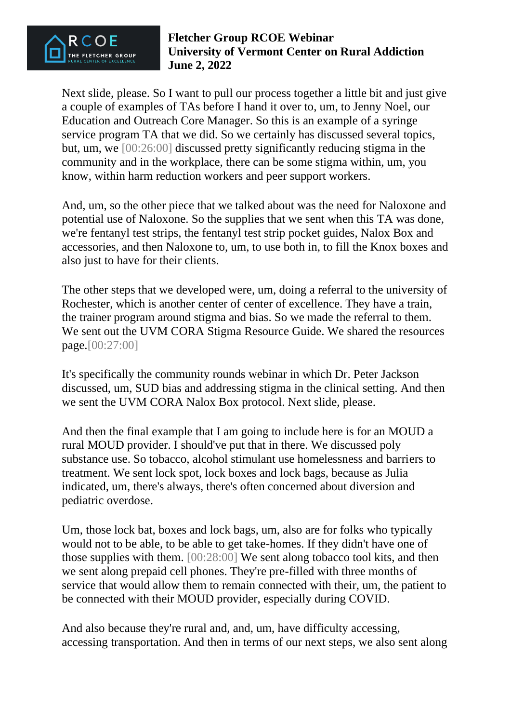

Next slide, please. So I want to pull our process together a little bit and just give a couple of examples of TAs before I hand it over to, um, to Jenny Noel, our Education and Outreach Core Manager. So this is an example of a syringe service program TA that we did. So we certainly has discussed several topics, but, um, we [00:26:00] discussed pretty significantly reducing stigma in the community and in the workplace, there can be some stigma within, um, you know, within harm reduction workers and peer support workers.

And, um, so the other piece that we talked about was the need for Naloxone and potential use of Naloxone. So the supplies that we sent when this TA was done, we're fentanyl test strips, the fentanyl test strip pocket guides, Nalox Box and accessories, and then Naloxone to, um, to use both in, to fill the Knox boxes and also just to have for their clients.

The other steps that we developed were, um, doing a referral to the university of Rochester, which is another center of center of excellence. They have a train, the trainer program around stigma and bias. So we made the referral to them. We sent out the UVM CORA Stigma Resource Guide. We shared the resources page.[00:27:00]

It's specifically the community rounds webinar in which Dr. Peter Jackson discussed, um, SUD bias and addressing stigma in the clinical setting. And then we sent the UVM CORA Nalox Box protocol. Next slide, please.

And then the final example that I am going to include here is for an MOUD a rural MOUD provider. I should've put that in there. We discussed poly substance use. So tobacco, alcohol stimulant use homelessness and barriers to treatment. We sent lock spot, lock boxes and lock bags, because as Julia indicated, um, there's always, there's often concerned about diversion and pediatric overdose.

Um, those lock bat, boxes and lock bags, um, also are for folks who typically would not to be able, to be able to get take-homes. If they didn't have one of those supplies with them. [00:28:00] We sent along tobacco tool kits, and then we sent along prepaid cell phones. They're pre-filled with three months of service that would allow them to remain connected with their, um, the patient to be connected with their MOUD provider, especially during COVID.

And also because they're rural and, and, um, have difficulty accessing, accessing transportation. And then in terms of our next steps, we also sent along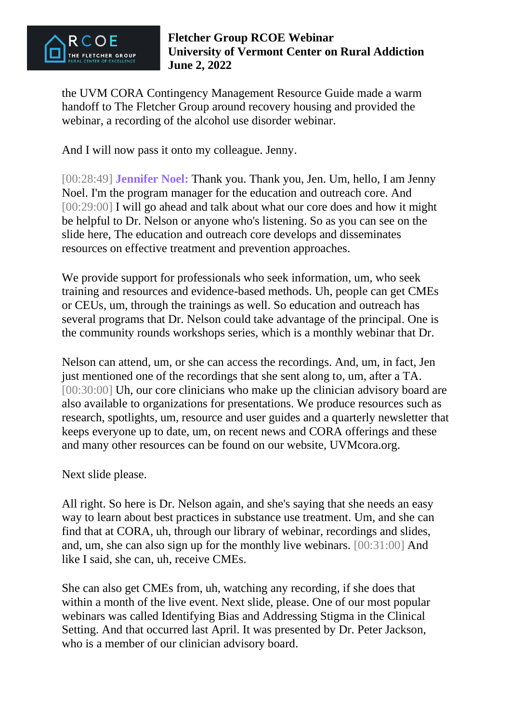

the UVM CORA Contingency Management Resource Guide made a warm handoff to The Fletcher Group around recovery housing and provided the webinar, a recording of the alcohol use disorder webinar.

And I will now pass it onto my colleague. Jenny.

[00:28:49] **Jennifer Noel:** Thank you. Thank you, Jen. Um, hello, I am Jenny Noel. I'm the program manager for the education and outreach core. And [00:29:00] I will go ahead and talk about what our core does and how it might be helpful to Dr. Nelson or anyone who's listening. So as you can see on the slide here, The education and outreach core develops and disseminates resources on effective treatment and prevention approaches.

We provide support for professionals who seek information, um, who seek training and resources and evidence-based methods. Uh, people can get CMEs or CEUs, um, through the trainings as well. So education and outreach has several programs that Dr. Nelson could take advantage of the principal. One is the community rounds workshops series, which is a monthly webinar that Dr.

Nelson can attend, um, or she can access the recordings. And, um, in fact, Jen just mentioned one of the recordings that she sent along to, um, after a TA. [00:30:00] Uh, our core clinicians who make up the clinician advisory board are also available to organizations for presentations. We produce resources such as research, spotlights, um, resource and user guides and a quarterly newsletter that keeps everyone up to date, um, on recent news and CORA offerings and these and many other resources can be found on our website, UVMcora.org.

Next slide please.

All right. So here is Dr. Nelson again, and she's saying that she needs an easy way to learn about best practices in substance use treatment. Um, and she can find that at CORA, uh, through our library of webinar, recordings and slides, and, um, she can also sign up for the monthly live webinars. [00:31:00] And like I said, she can, uh, receive CMEs.

She can also get CMEs from, uh, watching any recording, if she does that within a month of the live event. Next slide, please. One of our most popular webinars was called Identifying Bias and Addressing Stigma in the Clinical Setting. And that occurred last April. It was presented by Dr. Peter Jackson, who is a member of our clinician advisory board.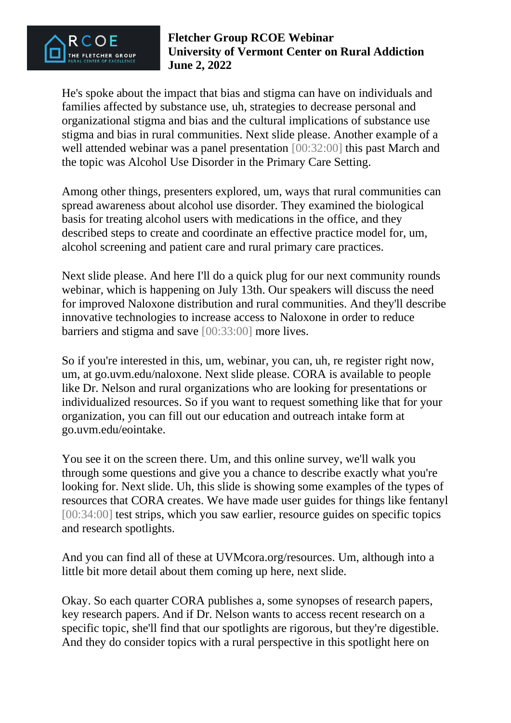

He's spoke about the impact that bias and stigma can have on individuals and families affected by substance use, uh, strategies to decrease personal and organizational stigma and bias and the cultural implications of substance use stigma and bias in rural communities. Next slide please. Another example of a well attended webinar was a panel presentation [00:32:00] this past March and the topic was Alcohol Use Disorder in the Primary Care Setting.

Among other things, presenters explored, um, ways that rural communities can spread awareness about alcohol use disorder. They examined the biological basis for treating alcohol users with medications in the office, and they described steps to create and coordinate an effective practice model for, um, alcohol screening and patient care and rural primary care practices.

Next slide please. And here I'll do a quick plug for our next community rounds webinar, which is happening on July 13th. Our speakers will discuss the need for improved Naloxone distribution and rural communities. And they'll describe innovative technologies to increase access to Naloxone in order to reduce barriers and stigma and save [00:33:00] more lives.

So if you're interested in this, um, webinar, you can, uh, re register right now, um, at go.uvm.edu/naloxone. Next slide please. CORA is available to people like Dr. Nelson and rural organizations who are looking for presentations or individualized resources. So if you want to request something like that for your organization, you can fill out our education and outreach intake form at go.uvm.edu/eointake.

You see it on the screen there. Um, and this online survey, we'll walk you through some questions and give you a chance to describe exactly what you're looking for. Next slide. Uh, this slide is showing some examples of the types of resources that CORA creates. We have made user guides for things like fentanyl [00:34:00] test strips, which you saw earlier, resource guides on specific topics and research spotlights.

And you can find all of these at UVMcora.org/resources. Um, although into a little bit more detail about them coming up here, next slide.

Okay. So each quarter CORA publishes a, some synopses of research papers, key research papers. And if Dr. Nelson wants to access recent research on a specific topic, she'll find that our spotlights are rigorous, but they're digestible. And they do consider topics with a rural perspective in this spotlight here on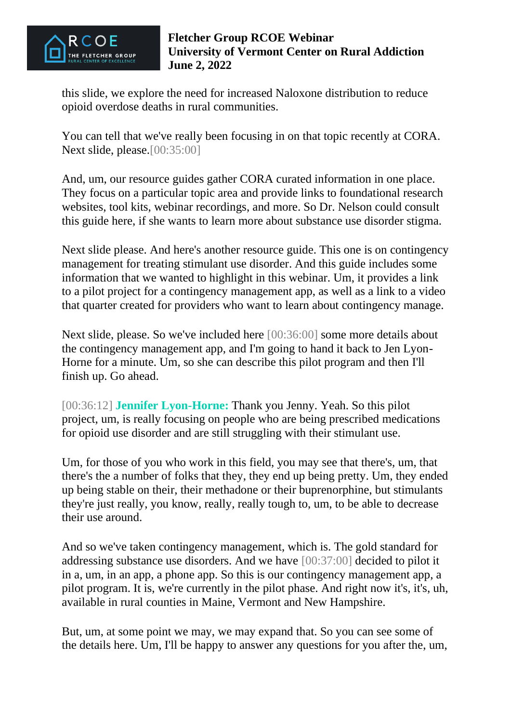

this slide, we explore the need for increased Naloxone distribution to reduce opioid overdose deaths in rural communities.

You can tell that we've really been focusing in on that topic recently at CORA. Next slide, please.[00:35:00]

And, um, our resource guides gather CORA curated information in one place. They focus on a particular topic area and provide links to foundational research websites, tool kits, webinar recordings, and more. So Dr. Nelson could consult this guide here, if she wants to learn more about substance use disorder stigma.

Next slide please. And here's another resource guide. This one is on contingency management for treating stimulant use disorder. And this guide includes some information that we wanted to highlight in this webinar. Um, it provides a link to a pilot project for a contingency management app, as well as a link to a video that quarter created for providers who want to learn about contingency manage.

Next slide, please. So we've included here [00:36:00] some more details about the contingency management app, and I'm going to hand it back to Jen Lyon-Horne for a minute. Um, so she can describe this pilot program and then I'll finish up. Go ahead.

[00:36:12] **Jennifer Lyon-Horne:** Thank you Jenny. Yeah. So this pilot project, um, is really focusing on people who are being prescribed medications for opioid use disorder and are still struggling with their stimulant use.

Um, for those of you who work in this field, you may see that there's, um, that there's the a number of folks that they, they end up being pretty. Um, they ended up being stable on their, their methadone or their buprenorphine, but stimulants they're just really, you know, really, really tough to, um, to be able to decrease their use around.

And so we've taken contingency management, which is. The gold standard for addressing substance use disorders. And we have [00:37:00] decided to pilot it in a, um, in an app, a phone app. So this is our contingency management app, a pilot program. It is, we're currently in the pilot phase. And right now it's, it's, uh, available in rural counties in Maine, Vermont and New Hampshire.

But, um, at some point we may, we may expand that. So you can see some of the details here. Um, I'll be happy to answer any questions for you after the, um,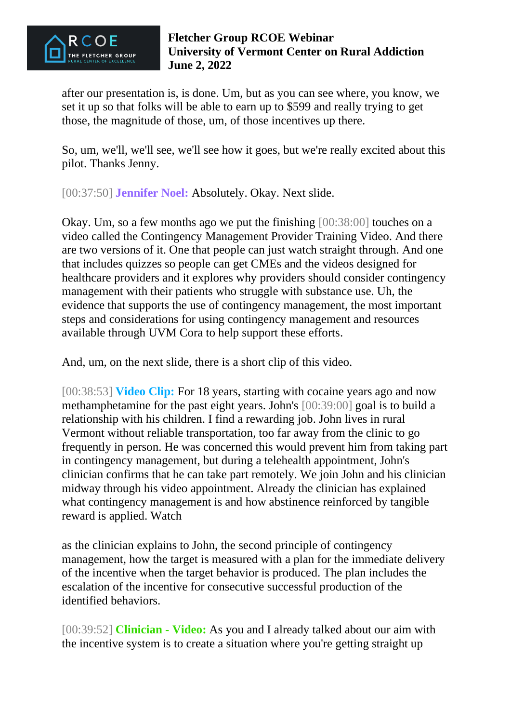

after our presentation is, is done. Um, but as you can see where, you know, we set it up so that folks will be able to earn up to \$599 and really trying to get those, the magnitude of those, um, of those incentives up there.

So, um, we'll, we'll see, we'll see how it goes, but we're really excited about this pilot. Thanks Jenny.

[00:37:50] **Jennifer Noel:** Absolutely. Okay. Next slide.

Okay. Um, so a few months ago we put the finishing [00:38:00] touches on a video called the Contingency Management Provider Training Video. And there are two versions of it. One that people can just watch straight through. And one that includes quizzes so people can get CMEs and the videos designed for healthcare providers and it explores why providers should consider contingency management with their patients who struggle with substance use. Uh, the evidence that supports the use of contingency management, the most important steps and considerations for using contingency management and resources available through UVM Cora to help support these efforts.

And, um, on the next slide, there is a short clip of this video.

[00:38:53] **Video Clip:** For 18 years, starting with cocaine years ago and now methamphetamine for the past eight years. John's [00:39:00] goal is to build a relationship with his children. I find a rewarding job. John lives in rural Vermont without reliable transportation, too far away from the clinic to go frequently in person. He was concerned this would prevent him from taking part in contingency management, but during a telehealth appointment, John's clinician confirms that he can take part remotely. We join John and his clinician midway through his video appointment. Already the clinician has explained what contingency management is and how abstinence reinforced by tangible reward is applied. Watch

as the clinician explains to John, the second principle of contingency management, how the target is measured with a plan for the immediate delivery of the incentive when the target behavior is produced. The plan includes the escalation of the incentive for consecutive successful production of the identified behaviors.

[00:39:52] **Clinician - Video:** As you and I already talked about our aim with the incentive system is to create a situation where you're getting straight up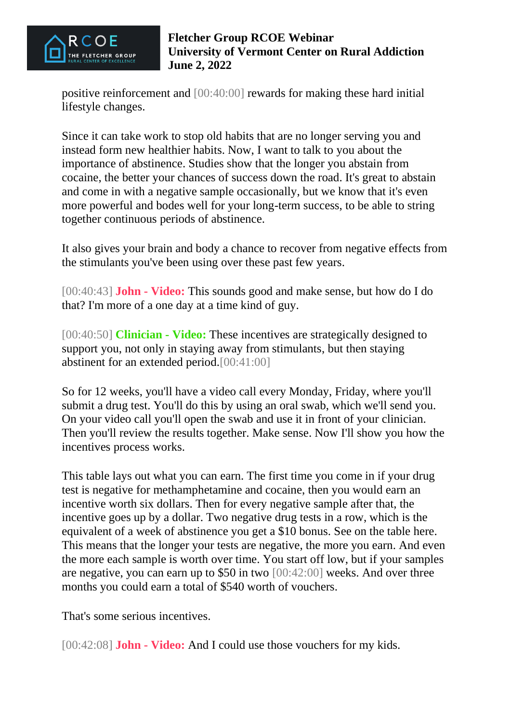

positive reinforcement and [00:40:00] rewards for making these hard initial lifestyle changes.

Since it can take work to stop old habits that are no longer serving you and instead form new healthier habits. Now, I want to talk to you about the importance of abstinence. Studies show that the longer you abstain from cocaine, the better your chances of success down the road. It's great to abstain and come in with a negative sample occasionally, but we know that it's even more powerful and bodes well for your long-term success, to be able to string together continuous periods of abstinence.

It also gives your brain and body a chance to recover from negative effects from the stimulants you've been using over these past few years.

[00:40:43] **John - Video:** This sounds good and make sense, but how do I do that? I'm more of a one day at a time kind of guy.

[00:40:50] **Clinician - Video:** These incentives are strategically designed to support you, not only in staying away from stimulants, but then staying abstinent for an extended period.[00:41:00]

So for 12 weeks, you'll have a video call every Monday, Friday, where you'll submit a drug test. You'll do this by using an oral swab, which we'll send you. On your video call you'll open the swab and use it in front of your clinician. Then you'll review the results together. Make sense. Now I'll show you how the incentives process works.

This table lays out what you can earn. The first time you come in if your drug test is negative for methamphetamine and cocaine, then you would earn an incentive worth six dollars. Then for every negative sample after that, the incentive goes up by a dollar. Two negative drug tests in a row, which is the equivalent of a week of abstinence you get a \$10 bonus. See on the table here. This means that the longer your tests are negative, the more you earn. And even the more each sample is worth over time. You start off low, but if your samples are negative, you can earn up to \$50 in two [00:42:00] weeks. And over three months you could earn a total of \$540 worth of vouchers.

That's some serious incentives.

[00:42:08] **John - Video:** And I could use those vouchers for my kids.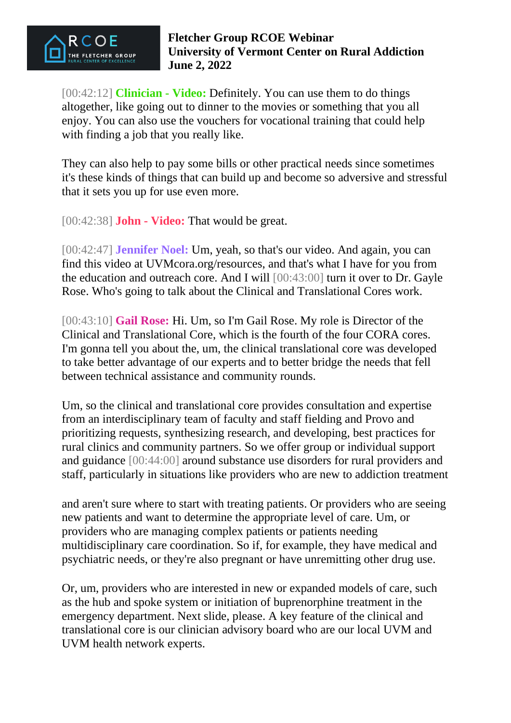

[00:42:12] **Clinician - Video:** Definitely. You can use them to do things altogether, like going out to dinner to the movies or something that you all enjoy. You can also use the vouchers for vocational training that could help with finding a job that you really like.

They can also help to pay some bills or other practical needs since sometimes it's these kinds of things that can build up and become so adversive and stressful that it sets you up for use even more.

[00:42:38] **John - Video:** That would be great.

[00:42:47] **Jennifer Noel:** Um, yeah, so that's our video. And again, you can find this video at UVMcora.org/resources, and that's what I have for you from the education and outreach core. And I will [00:43:00] turn it over to Dr. Gayle Rose. Who's going to talk about the Clinical and Translational Cores work.

[00:43:10] **Gail Rose:** Hi. Um, so I'm Gail Rose. My role is Director of the Clinical and Translational Core, which is the fourth of the four CORA cores. I'm gonna tell you about the, um, the clinical translational core was developed to take better advantage of our experts and to better bridge the needs that fell between technical assistance and community rounds.

Um, so the clinical and translational core provides consultation and expertise from an interdisciplinary team of faculty and staff fielding and Provo and prioritizing requests, synthesizing research, and developing, best practices for rural clinics and community partners. So we offer group or individual support and guidance [00:44:00] around substance use disorders for rural providers and staff, particularly in situations like providers who are new to addiction treatment

and aren't sure where to start with treating patients. Or providers who are seeing new patients and want to determine the appropriate level of care. Um, or providers who are managing complex patients or patients needing multidisciplinary care coordination. So if, for example, they have medical and psychiatric needs, or they're also pregnant or have unremitting other drug use.

Or, um, providers who are interested in new or expanded models of care, such as the hub and spoke system or initiation of buprenorphine treatment in the emergency department. Next slide, please. A key feature of the clinical and translational core is our clinician advisory board who are our local UVM and UVM health network experts.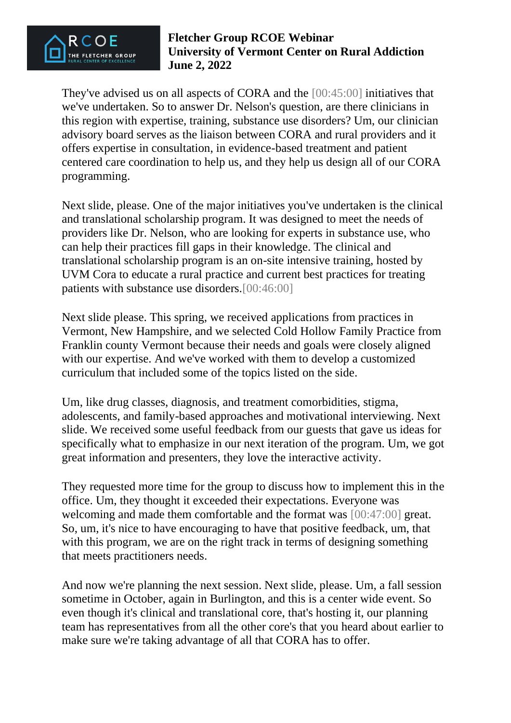

They've advised us on all aspects of CORA and the [00:45:00] initiatives that we've undertaken. So to answer Dr. Nelson's question, are there clinicians in this region with expertise, training, substance use disorders? Um, our clinician advisory board serves as the liaison between CORA and rural providers and it offers expertise in consultation, in evidence-based treatment and patient centered care coordination to help us, and they help us design all of our CORA programming.

Next slide, please. One of the major initiatives you've undertaken is the clinical and translational scholarship program. It was designed to meet the needs of providers like Dr. Nelson, who are looking for experts in substance use, who can help their practices fill gaps in their knowledge. The clinical and translational scholarship program is an on-site intensive training, hosted by UVM Cora to educate a rural practice and current best practices for treating patients with substance use disorders.[00:46:00]

Next slide please. This spring, we received applications from practices in Vermont, New Hampshire, and we selected Cold Hollow Family Practice from Franklin county Vermont because their needs and goals were closely aligned with our expertise. And we've worked with them to develop a customized curriculum that included some of the topics listed on the side.

Um, like drug classes, diagnosis, and treatment comorbidities, stigma, adolescents, and family-based approaches and motivational interviewing. Next slide. We received some useful feedback from our guests that gave us ideas for specifically what to emphasize in our next iteration of the program. Um, we got great information and presenters, they love the interactive activity.

They requested more time for the group to discuss how to implement this in the office. Um, they thought it exceeded their expectations. Everyone was welcoming and made them comfortable and the format was [00:47:00] great. So, um, it's nice to have encouraging to have that positive feedback, um, that with this program, we are on the right track in terms of designing something that meets practitioners needs.

And now we're planning the next session. Next slide, please. Um, a fall session sometime in October, again in Burlington, and this is a center wide event. So even though it's clinical and translational core, that's hosting it, our planning team has representatives from all the other core's that you heard about earlier to make sure we're taking advantage of all that CORA has to offer.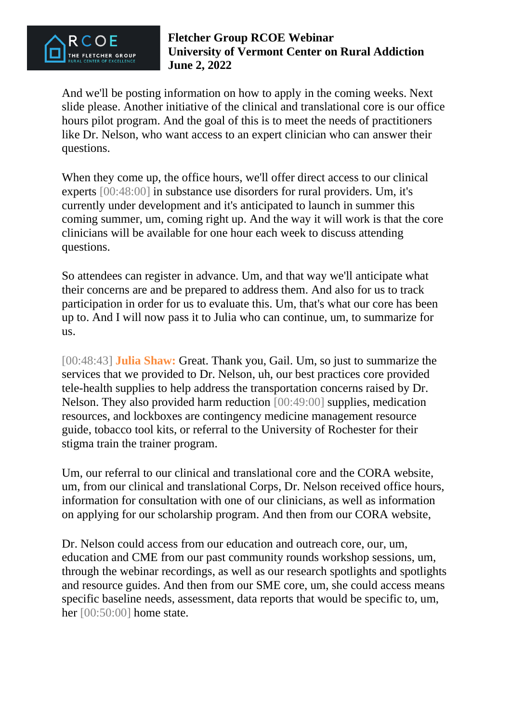

And we'll be posting information on how to apply in the coming weeks. Next slide please. Another initiative of the clinical and translational core is our office hours pilot program. And the goal of this is to meet the needs of practitioners like Dr. Nelson, who want access to an expert clinician who can answer their questions.

When they come up, the office hours, we'll offer direct access to our clinical experts [00:48:00] in substance use disorders for rural providers. Um, it's currently under development and it's anticipated to launch in summer this coming summer, um, coming right up. And the way it will work is that the core clinicians will be available for one hour each week to discuss attending questions.

So attendees can register in advance. Um, and that way we'll anticipate what their concerns are and be prepared to address them. And also for us to track participation in order for us to evaluate this. Um, that's what our core has been up to. And I will now pass it to Julia who can continue, um, to summarize for us.

[00:48:43] **Julia Shaw:** Great. Thank you, Gail. Um, so just to summarize the services that we provided to Dr. Nelson, uh, our best practices core provided tele-health supplies to help address the transportation concerns raised by Dr. Nelson. They also provided harm reduction [00:49:00] supplies, medication resources, and lockboxes are contingency medicine management resource guide, tobacco tool kits, or referral to the University of Rochester for their stigma train the trainer program.

Um, our referral to our clinical and translational core and the CORA website, um, from our clinical and translational Corps, Dr. Nelson received office hours, information for consultation with one of our clinicians, as well as information on applying for our scholarship program. And then from our CORA website,

Dr. Nelson could access from our education and outreach core, our, um, education and CME from our past community rounds workshop sessions, um, through the webinar recordings, as well as our research spotlights and spotlights and resource guides. And then from our SME core, um, she could access means specific baseline needs, assessment, data reports that would be specific to, um, her [00:50:00] home state.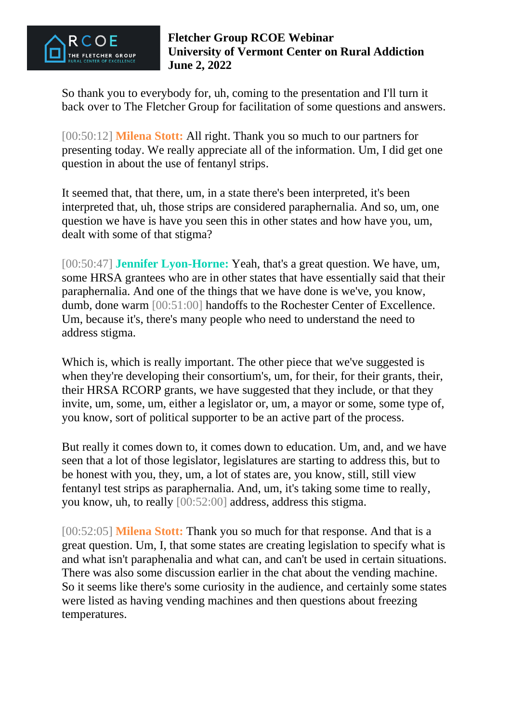

So thank you to everybody for, uh, coming to the presentation and I'll turn it back over to The Fletcher Group for facilitation of some questions and answers.

[00:50:12] **Milena Stott:** All right. Thank you so much to our partners for presenting today. We really appreciate all of the information. Um, I did get one question in about the use of fentanyl strips.

It seemed that, that there, um, in a state there's been interpreted, it's been interpreted that, uh, those strips are considered paraphernalia. And so, um, one question we have is have you seen this in other states and how have you, um, dealt with some of that stigma?

[00:50:47] **Jennifer Lyon-Horne:** Yeah, that's a great question. We have, um, some HRSA grantees who are in other states that have essentially said that their paraphernalia. And one of the things that we have done is we've, you know, dumb, done warm [00:51:00] handoffs to the Rochester Center of Excellence. Um, because it's, there's many people who need to understand the need to address stigma.

Which is, which is really important. The other piece that we've suggested is when they're developing their consortium's, um, for their, for their grants, their, their HRSA RCORP grants, we have suggested that they include, or that they invite, um, some, um, either a legislator or, um, a mayor or some, some type of, you know, sort of political supporter to be an active part of the process.

But really it comes down to, it comes down to education. Um, and, and we have seen that a lot of those legislator, legislatures are starting to address this, but to be honest with you, they, um, a lot of states are, you know, still, still view fentanyl test strips as paraphernalia. And, um, it's taking some time to really, you know, uh, to really [00:52:00] address, address this stigma.

[00:52:05] **Milena Stott:** Thank you so much for that response. And that is a great question. Um, I, that some states are creating legislation to specify what is and what isn't paraphenalia and what can, and can't be used in certain situations. There was also some discussion earlier in the chat about the vending machine. So it seems like there's some curiosity in the audience, and certainly some states were listed as having vending machines and then questions about freezing temperatures.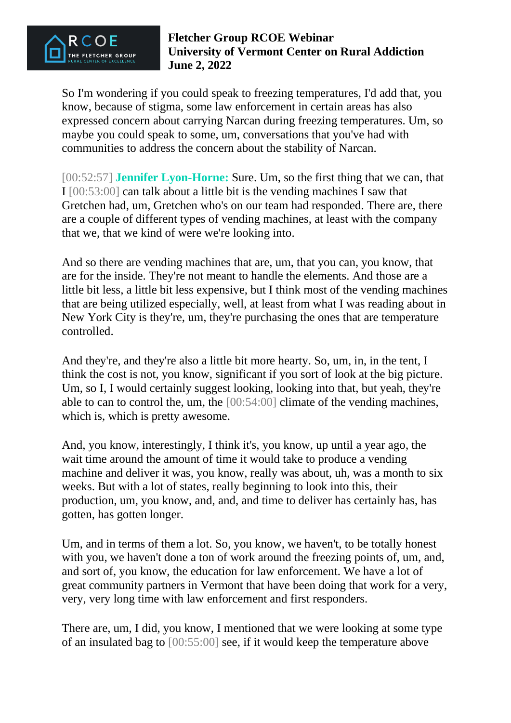

So I'm wondering if you could speak to freezing temperatures, I'd add that, you know, because of stigma, some law enforcement in certain areas has also expressed concern about carrying Narcan during freezing temperatures. Um, so maybe you could speak to some, um, conversations that you've had with communities to address the concern about the stability of Narcan.

[00:52:57] **Jennifer Lyon-Horne:** Sure. Um, so the first thing that we can, that I [00:53:00] can talk about a little bit is the vending machines I saw that Gretchen had, um, Gretchen who's on our team had responded. There are, there are a couple of different types of vending machines, at least with the company that we, that we kind of were we're looking into.

And so there are vending machines that are, um, that you can, you know, that are for the inside. They're not meant to handle the elements. And those are a little bit less, a little bit less expensive, but I think most of the vending machines that are being utilized especially, well, at least from what I was reading about in New York City is they're, um, they're purchasing the ones that are temperature controlled.

And they're, and they're also a little bit more hearty. So, um, in, in the tent, I think the cost is not, you know, significant if you sort of look at the big picture. Um, so I, I would certainly suggest looking, looking into that, but yeah, they're able to can to control the, um, the [00:54:00] climate of the vending machines, which is, which is pretty awesome.

And, you know, interestingly, I think it's, you know, up until a year ago, the wait time around the amount of time it would take to produce a vending machine and deliver it was, you know, really was about, uh, was a month to six weeks. But with a lot of states, really beginning to look into this, their production, um, you know, and, and, and time to deliver has certainly has, has gotten, has gotten longer.

Um, and in terms of them a lot. So, you know, we haven't, to be totally honest with you, we haven't done a ton of work around the freezing points of, um, and, and sort of, you know, the education for law enforcement. We have a lot of great community partners in Vermont that have been doing that work for a very, very, very long time with law enforcement and first responders.

There are, um, I did, you know, I mentioned that we were looking at some type of an insulated bag to [00:55:00] see, if it would keep the temperature above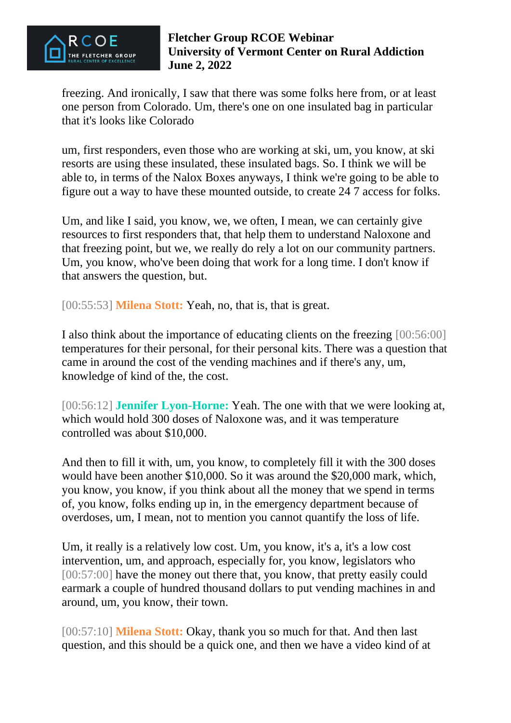

freezing. And ironically, I saw that there was some folks here from, or at least one person from Colorado. Um, there's one on one insulated bag in particular that it's looks like Colorado

um, first responders, even those who are working at ski, um, you know, at ski resorts are using these insulated, these insulated bags. So. I think we will be able to, in terms of the Nalox Boxes anyways, I think we're going to be able to figure out a way to have these mounted outside, to create 24 7 access for folks.

Um, and like I said, you know, we, we often, I mean, we can certainly give resources to first responders that, that help them to understand Naloxone and that freezing point, but we, we really do rely a lot on our community partners. Um, you know, who've been doing that work for a long time. I don't know if that answers the question, but.

[00:55:53] **Milena Stott:** Yeah, no, that is, that is great.

I also think about the importance of educating clients on the freezing [00:56:00] temperatures for their personal, for their personal kits. There was a question that came in around the cost of the vending machines and if there's any, um, knowledge of kind of the, the cost.

[00:56:12] **Jennifer Lyon-Horne:** Yeah. The one with that we were looking at, which would hold 300 doses of Naloxone was, and it was temperature controlled was about \$10,000.

And then to fill it with, um, you know, to completely fill it with the 300 doses would have been another \$10,000. So it was around the \$20,000 mark, which, you know, you know, if you think about all the money that we spend in terms of, you know, folks ending up in, in the emergency department because of overdoses, um, I mean, not to mention you cannot quantify the loss of life.

Um, it really is a relatively low cost. Um, you know, it's a, it's a low cost intervention, um, and approach, especially for, you know, legislators who [00:57:00] have the money out there that, you know, that pretty easily could earmark a couple of hundred thousand dollars to put vending machines in and around, um, you know, their town.

[00:57:10] **Milena Stott:** Okay, thank you so much for that. And then last question, and this should be a quick one, and then we have a video kind of at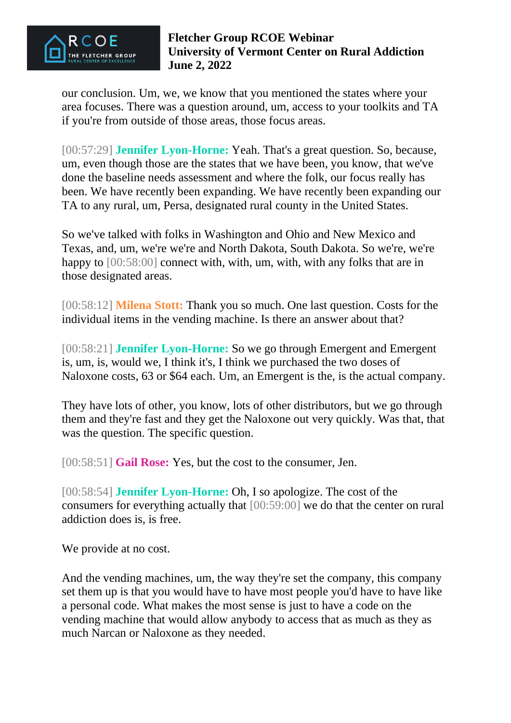

our conclusion. Um, we, we know that you mentioned the states where your area focuses. There was a question around, um, access to your toolkits and TA if you're from outside of those areas, those focus areas.

[00:57:29] **Jennifer Lyon-Horne:** Yeah. That's a great question. So, because, um, even though those are the states that we have been, you know, that we've done the baseline needs assessment and where the folk, our focus really has been. We have recently been expanding. We have recently been expanding our TA to any rural, um, Persa, designated rural county in the United States.

So we've talked with folks in Washington and Ohio and New Mexico and Texas, and, um, we're we're and North Dakota, South Dakota. So we're, we're happy to [00:58:00] connect with, with, um, with, with any folks that are in those designated areas.

[00:58:12] **Milena Stott:** Thank you so much. One last question. Costs for the individual items in the vending machine. Is there an answer about that?

[00:58:21] **Jennifer Lyon-Horne:** So we go through Emergent and Emergent is, um, is, would we, I think it's, I think we purchased the two doses of Naloxone costs, 63 or \$64 each. Um, an Emergent is the, is the actual company.

They have lots of other, you know, lots of other distributors, but we go through them and they're fast and they get the Naloxone out very quickly. Was that, that was the question. The specific question.

[00:58:51] **Gail Rose:** Yes, but the cost to the consumer, Jen.

[00:58:54] **Jennifer Lyon-Horne:** Oh, I so apologize. The cost of the consumers for everything actually that [00:59:00] we do that the center on rural addiction does is, is free.

We provide at no cost.

And the vending machines, um, the way they're set the company, this company set them up is that you would have to have most people you'd have to have like a personal code. What makes the most sense is just to have a code on the vending machine that would allow anybody to access that as much as they as much Narcan or Naloxone as they needed.